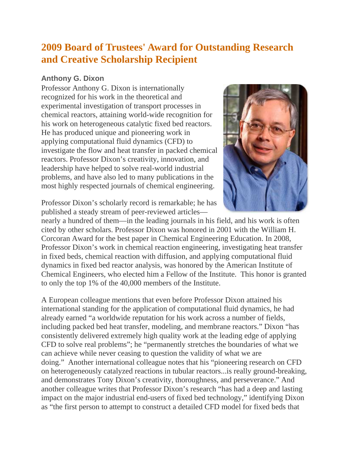## **2009 Board of Trustees' Award for Outstanding Research and Creative Scholarship Recipient**

## **Anthony G. Dixon**

Professor Anthony G. Dixon is internationally recognized for his work in the theoretical and experimental investigation of transport processes in chemical reactors, attaining world-wide recognition for his work on heterogeneous catalytic fixed bed reactors. He has produced unique and pioneering work in applying computational fluid dynamics (CFD) to investigate the flow and heat transfer in packed chemical reactors. Professor Dixon's creativity, innovation, and leadership have helped to solve real-world industrial problems, and have also led to many publications in the most highly respected journals of chemical engineering.



Professor Dixon's scholarly record is remarkable; he has published a steady stream of peer-reviewed articles—

nearly a hundred of them—in the leading journals in his field, and his work is often cited by other scholars. Professor Dixon was honored in 2001 with the William H. Corcoran Award for the best paper in Chemical Engineering Education. In 2008, Professor Dixon's work in chemical reaction engineering, investigating heat transfer in fixed beds, chemical reaction with diffusion, and applying computational fluid dynamics in fixed bed reactor analysis, was honored by the American Institute of Chemical Engineers, who elected him a Fellow of the Institute. This honor is granted to only the top 1% of the 40,000 members of the Institute.

A European colleague mentions that even before Professor Dixon attained his international standing for the application of computational fluid dynamics, he had already earned "a worldwide reputation for his work across a number of fields, including packed bed heat transfer, modeling, and membrane reactors." Dixon "has consistently delivered extremely high quality work at the leading edge of applying CFD to solve real problems"; he "permanently stretches the boundaries of what we can achieve while never ceasing to question the validity of what we are doing." Another international colleague notes that his "pioneering research on CFD on heterogeneously catalyzed reactions in tubular reactors...is really ground-breaking, and demonstrates Tony Dixon's creativity, thoroughness, and perseverance." And another colleague writes that Professor Dixon's research "has had a deep and lasting impact on the major industrial end-users of fixed bed technology," identifying Dixon as "the first person to attempt to construct a detailed CFD model for fixed beds that